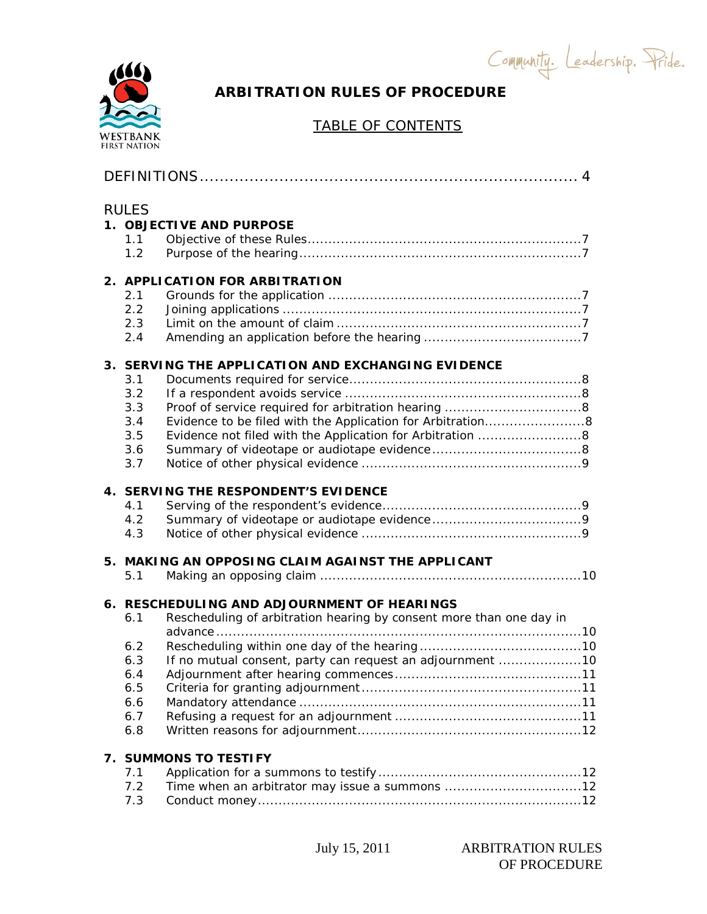Community. Leadership. Pride.



# **ARBITRATION RULES OF PROCEDURE**

# TABLE OF CONTENTS

| <b>RULES</b><br>1.1<br>1.2                           | 1. OBJECTIVE AND PURPOSE                                                                                                                                                               |
|------------------------------------------------------|----------------------------------------------------------------------------------------------------------------------------------------------------------------------------------------|
| 2.1<br>2.2<br>2.3<br>2.4                             | 2. APPLICATION FOR ARBITRATION                                                                                                                                                         |
| 3.1<br>3.2<br>3.3<br>3.4<br>3.5<br>3.6<br>3.7        | 3. SERVING THE APPLICATION AND EXCHANGING EVIDENCE<br>Evidence not filed with the Application for Arbitration 8                                                                        |
| 4.1<br>4.2<br>4.3                                    | 4. SERVING THE RESPONDENT'S EVIDENCE                                                                                                                                                   |
| 5.1                                                  | 5. MAKING AN OPPOSING CLAIM AGAINST THE APPLICANT                                                                                                                                      |
| 6.1<br>6.2<br>6.3<br>6.4<br>6.5<br>6.6<br>6.7<br>6.8 | <b>6. RESCHEDULING AND ADJOURNMENT OF HEARINGS</b><br>Rescheduling of arbitration hearing by consent more than one day in<br>If no mutual consent, party can request an adjournment 10 |
| 7.1<br>7.2<br>7.3                                    | 7. SUMMONS TO TESTIFY<br>Time when an arbitrator may issue a summons 12                                                                                                                |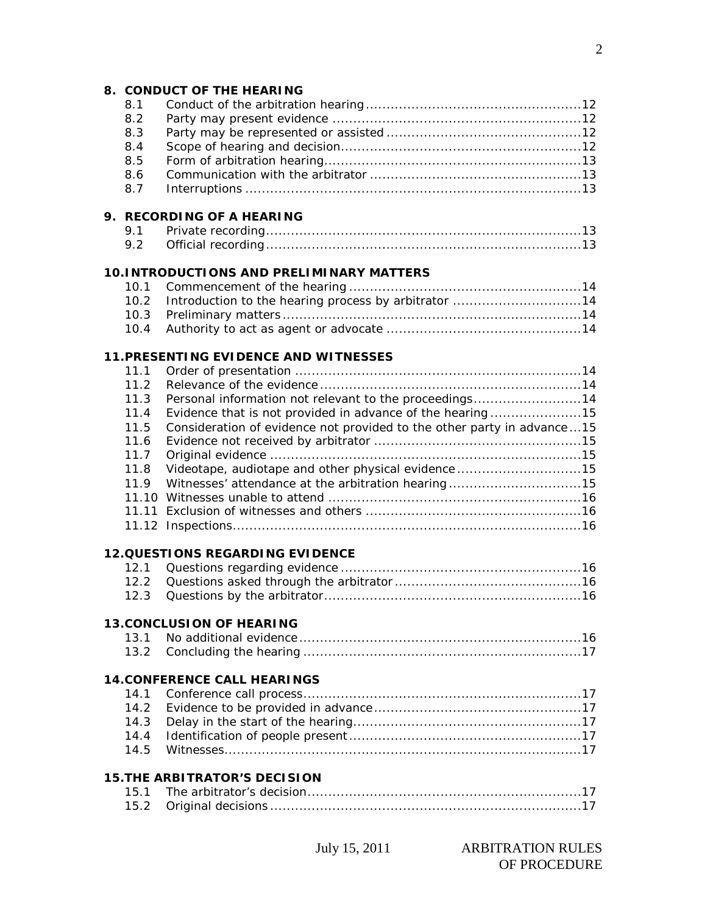#### **8. CONDUCT OF THE HEARING**

| 8.2 |  |
|-----|--|
| 8.3 |  |
| 8.4 |  |
|     |  |
| 8.6 |  |
|     |  |

# **9. RECORDING OF A HEARING**

| 9.1 |  |
|-----|--|
|     |  |

### **10.INTRODUCTIONS AND PRELIMINARY MATTERS**

### **11.PRESENTING EVIDENCE AND WITNESSES**

| 11.1 |                                                                        |  |
|------|------------------------------------------------------------------------|--|
| 11.2 |                                                                        |  |
| 11.3 | Personal information not relevant to the proceedings14                 |  |
| 11.4 | Evidence that is not provided in advance of the hearing15              |  |
| 11.5 | Consideration of evidence not provided to the other party in advance15 |  |
| 11.6 |                                                                        |  |
| 11.7 |                                                                        |  |
| 11.8 | Videotape, audiotape and other physical evidence15                     |  |
| 11.9 |                                                                        |  |
|      |                                                                        |  |
|      |                                                                        |  |
|      |                                                                        |  |
|      | <b>12.QUESTIONS REGARDING EVIDENCE</b>                                 |  |
| 12.1 |                                                                        |  |
| 12.2 |                                                                        |  |
| 12.3 |                                                                        |  |
|      | <b>13. CONCLUSION OF HEARING</b>                                       |  |
| 13.1 |                                                                        |  |
| 13.2 |                                                                        |  |
|      | <b>14. CONFERENCE CALL HEARINGS</b>                                    |  |
| 14.1 |                                                                        |  |
| 14.2 |                                                                        |  |
| 14.3 |                                                                        |  |
| 14.4 |                                                                        |  |
| 14.5 |                                                                        |  |
|      | <b>15. THE ARBITRATOR'S DECISION</b>                                   |  |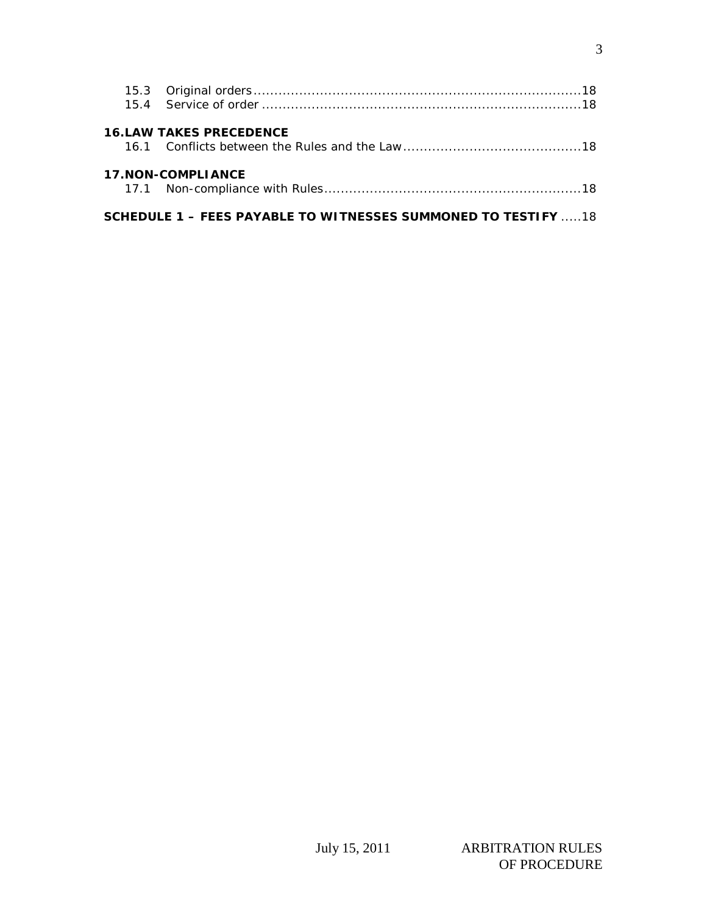| <b>16.LAW TAKES PRECEDENCE</b>                                        |  |
|-----------------------------------------------------------------------|--|
| <b>17.NON-COMPLIANCE</b>                                              |  |
| <b>SCHEDULE 1 - FEES PAYABLE TO WITNESSES SUMMONED TO TESTIFY  18</b> |  |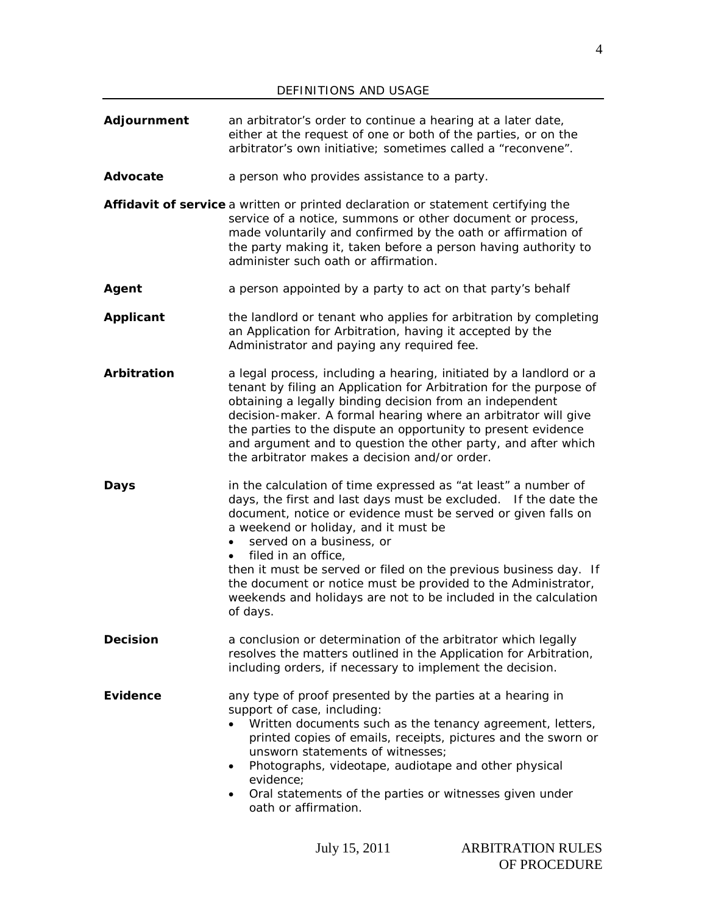**Adjournment** an arbitrator's order to continue a hearing at a later date, either at the request of one or both of the parties, or on the arbitrator's own initiative; sometimes called a "reconvene". Advocate a person who provides assistance to a party. **Affidavit of service** a written or printed declaration or statement certifying the service of a notice, summons or other document or process, made voluntarily and confirmed by the oath or affirmation of the party making it, taken before a person having authority to administer such oath or affirmation. **Agent** a person appointed by a party to act on that party's behalf **Applicant** the landlord or tenant who applies for arbitration by completing an Application for Arbitration, having it accepted by the Administrator and paying any required fee. **Arbitration** a legal process, including a hearing, initiated by a landlord or a tenant by filing an Application for Arbitration for the purpose of obtaining a legally binding decision from an independent decision-maker. A formal hearing where an arbitrator will give the parties to the dispute an opportunity to present evidence and argument and to question the other party, and after which the arbitrator makes a decision and/or order. **Days** in the calculation of time expressed as "at least" a number of days, the first and last days must be excluded. If the date the document, notice or evidence must be served or given falls on a weekend or holiday, and it must be served on a business, or filed in an office, then it must be served or filed on the previous business day. If the document or notice must be provided to the Administrator, weekends and holidays are not to be included in the calculation of days. **Decision a** conclusion or determination of the arbitrator which legally resolves the matters outlined in the Application for Arbitration, including orders, if necessary to implement the decision. **Evidence** any type of proof presented by the parties at a hearing in support of case, including: • Written documents such as the tenancy agreement, letters, printed copies of emails, receipts, pictures and the sworn or unsworn statements of witnesses; • Photographs, videotape, audiotape and other physical evidence; • Oral statements of the parties or witnesses given under oath or affirmation.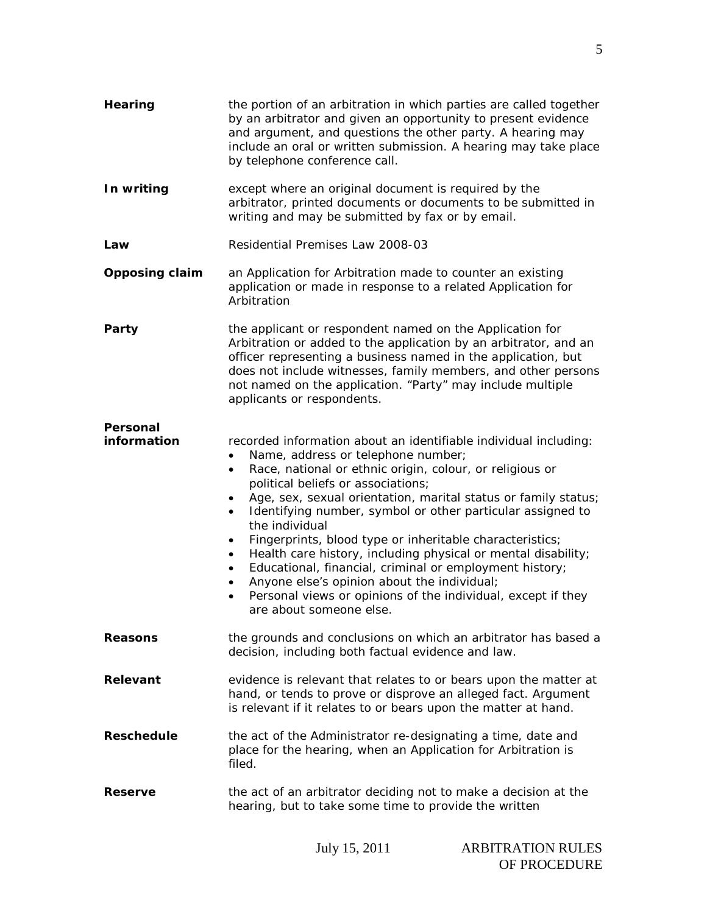| Hearing                 | the portion of an arbitration in which parties are called together<br>by an arbitrator and given an opportunity to present evidence<br>and argument, and questions the other party. A hearing may<br>include an oral or written submission. A hearing may take place<br>by telephone conference call.                                                                                                                                                                                                                                                                                                                                                                                                                                                                                     |
|-------------------------|-------------------------------------------------------------------------------------------------------------------------------------------------------------------------------------------------------------------------------------------------------------------------------------------------------------------------------------------------------------------------------------------------------------------------------------------------------------------------------------------------------------------------------------------------------------------------------------------------------------------------------------------------------------------------------------------------------------------------------------------------------------------------------------------|
| In writing              | except where an original document is required by the<br>arbitrator, printed documents or documents to be submitted in<br>writing and may be submitted by fax or by email.                                                                                                                                                                                                                                                                                                                                                                                                                                                                                                                                                                                                                 |
| Law                     | Residential Premises Law 2008-03                                                                                                                                                                                                                                                                                                                                                                                                                                                                                                                                                                                                                                                                                                                                                          |
| <b>Opposing claim</b>   | an Application for Arbitration made to counter an existing<br>application or made in response to a related Application for<br>Arbitration                                                                                                                                                                                                                                                                                                                                                                                                                                                                                                                                                                                                                                                 |
| Party                   | the applicant or respondent named on the Application for<br>Arbitration or added to the application by an arbitrator, and an<br>officer representing a business named in the application, but<br>does not include witnesses, family members, and other persons<br>not named on the application. "Party" may include multiple<br>applicants or respondents.                                                                                                                                                                                                                                                                                                                                                                                                                                |
| Personal<br>information | recorded information about an identifiable individual including:<br>Name, address or telephone number;<br>$\bullet$<br>Race, national or ethnic origin, colour, or religious or<br>٠<br>political beliefs or associations;<br>Age, sex, sexual orientation, marital status or family status;<br>٠<br>Identifying number, symbol or other particular assigned to<br>$\bullet$<br>the individual<br>Fingerprints, blood type or inheritable characteristics;<br>٠<br>Health care history, including physical or mental disability;<br>$\bullet$<br>Educational, financial, criminal or employment history;<br>$\bullet$<br>Anyone else's opinion about the individual;<br>$\bullet$<br>Personal views or opinions of the individual, except if they<br>$\bullet$<br>are about someone else. |
| <b>Reasons</b>          | the grounds and conclusions on which an arbitrator has based a<br>decision, including both factual evidence and law.                                                                                                                                                                                                                                                                                                                                                                                                                                                                                                                                                                                                                                                                      |
| Relevant                | evidence is relevant that relates to or bears upon the matter at<br>hand, or tends to prove or disprove an alleged fact. Argument<br>is relevant if it relates to or bears upon the matter at hand.                                                                                                                                                                                                                                                                                                                                                                                                                                                                                                                                                                                       |
| <b>Reschedule</b>       | the act of the Administrator re-designating a time, date and<br>place for the hearing, when an Application for Arbitration is<br>filed.                                                                                                                                                                                                                                                                                                                                                                                                                                                                                                                                                                                                                                                   |
| <b>Reserve</b>          | the act of an arbitrator deciding not to make a decision at the<br>hearing, but to take some time to provide the written                                                                                                                                                                                                                                                                                                                                                                                                                                                                                                                                                                                                                                                                  |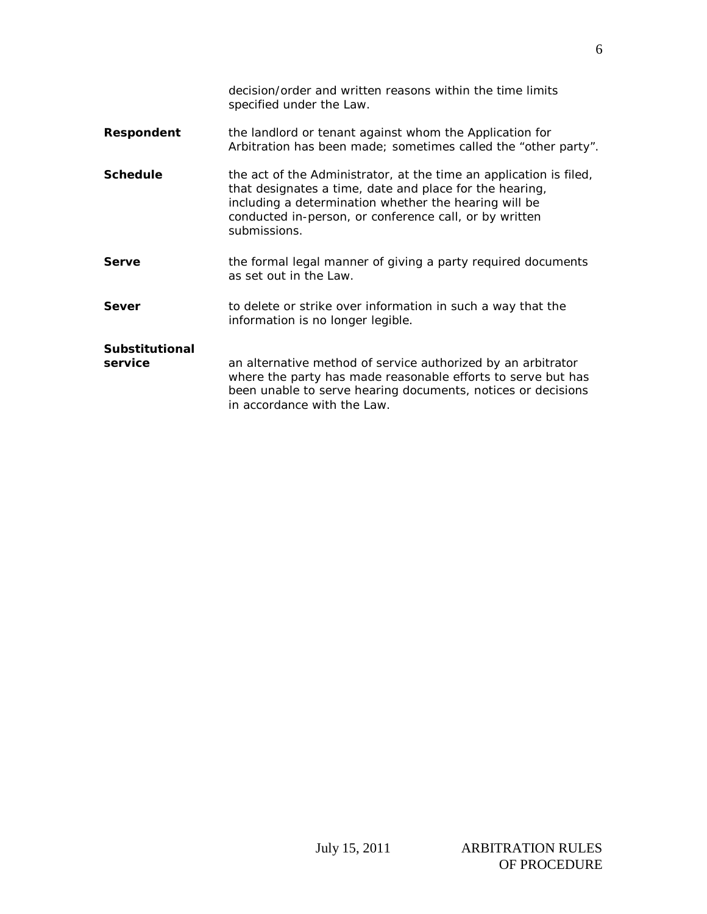|                                  | decision/order and written reasons within the time limits<br>specified under the Law.                                                                                                                                                                            |
|----------------------------------|------------------------------------------------------------------------------------------------------------------------------------------------------------------------------------------------------------------------------------------------------------------|
| Respondent                       | the landlord or tenant against whom the Application for<br>Arbitration has been made; sometimes called the "other party".                                                                                                                                        |
| <b>Schedule</b>                  | the act of the Administrator, at the time an application is filed,<br>that designates a time, date and place for the hearing,<br>including a determination whether the hearing will be<br>conducted in-person, or conference call, or by written<br>submissions. |
| Serve                            | the formal legal manner of giving a party required documents<br>as set out in the Law.                                                                                                                                                                           |
| Sever                            | to delete or strike over information in such a way that the<br>information is no longer legible.                                                                                                                                                                 |
| <b>Substitutional</b><br>service | an alternative method of service authorized by an arbitrator<br>where the party has made reasonable efforts to serve but has<br>been unable to serve hearing documents, notices or decisions<br>in accordance with the Law.                                      |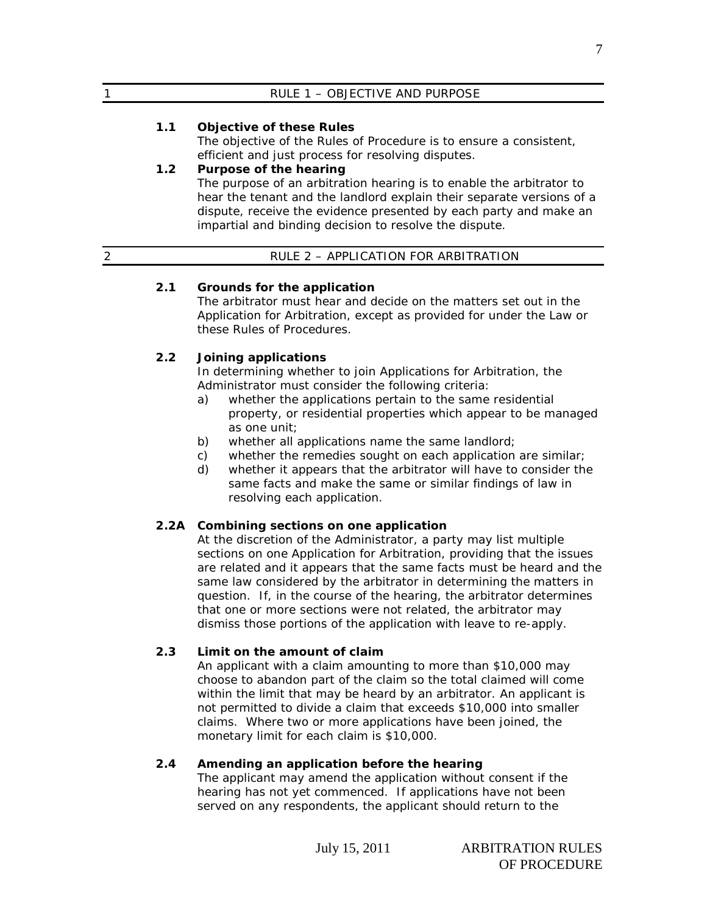| $\mathbf{A}$ | RULE 1 - OBJECTIVE AND PURPOSE |
|--------------|--------------------------------|
|              |                                |

# **1.1 Objective of these Rules**

The objective of the Rules of Procedure is to ensure a consistent, efficient and just process for resolving disputes.

# **1.2 Purpose of the hearing**

The purpose of an arbitration hearing is to enable the arbitrator to hear the tenant and the landlord explain their separate versions of a dispute, receive the evidence presented by each party and make an impartial and binding decision to resolve the dispute.

# 2 RULE 2 – APPLICATION FOR ARBITRATION

### **2.1 Grounds for the application**

The arbitrator must hear and decide on the matters set out in the Application for Arbitration, except as provided for under the Law or these Rules of Procedures.

# **2.2 Joining applications**

In determining whether to join Applications for Arbitration, the Administrator must consider the following criteria:

- a) whether the applications pertain to the same residential property, or residential properties which appear to be managed as one unit;
- b) whether all applications name the same landlord;
- c) whether the remedies sought on each application are similar;
- d) whether it appears that the arbitrator will have to consider the same facts and make the same or similar findings of law in resolving each application.

### **2.2A Combining sections on one application**

At the discretion of the Administrator, a party may list multiple sections on one Application for Arbitration, providing that the issues are related and it appears that the same facts must be heard and the same law considered by the arbitrator in determining the matters in question. If, in the course of the hearing, the arbitrator determines that one or more sections were not related, the arbitrator may dismiss those portions of the application with leave to re-apply.

# **2.3 Limit on the amount of claim**

An applicant with a claim amounting to more than \$10,000 may choose to abandon part of the claim so the total claimed will come within the limit that may be heard by an arbitrator. An applicant is not permitted to divide a claim that exceeds \$10,000 into smaller claims. Where two or more applications have been joined, the monetary limit for each claim is \$10,000.

### **2.4 Amending an application before the hearing**

The applicant may amend the application without consent if the hearing has not yet commenced. If applications have not been served on any respondents, the applicant should return to the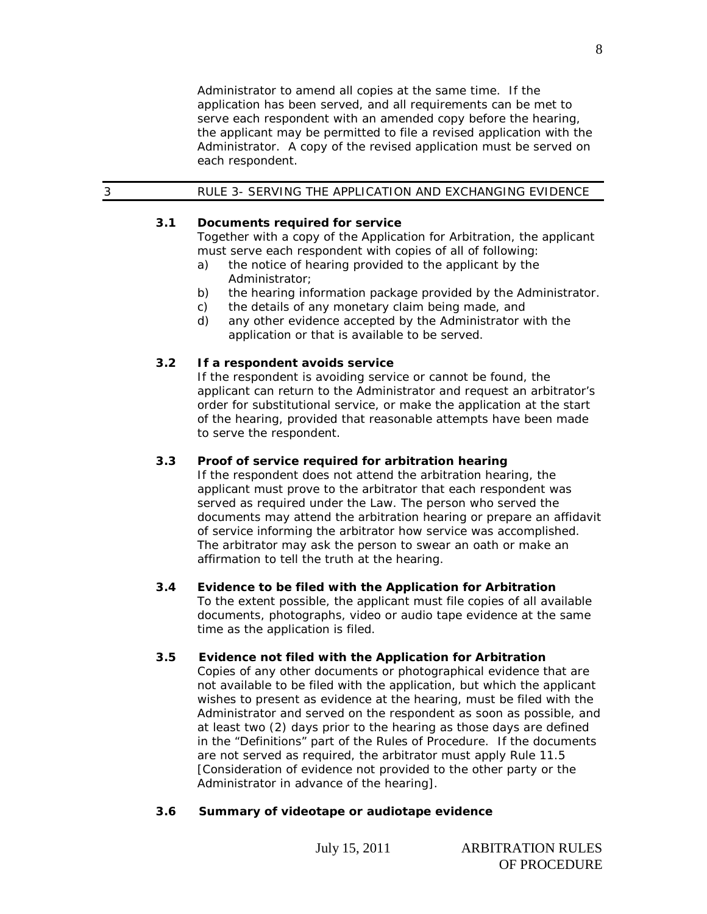Administrator to amend all copies at the same time. If the application has been served, and all requirements can be met to serve each respondent with an amended copy before the hearing, the applicant may be permitted to file a revised application with the Administrator. A copy of the revised application must be served on each respondent.

# 3 RULE 3- SERVING THE APPLICATION AND EXCHANGING EVIDENCE

### **3.1 Documents required for service**

Together with a copy of the Application for Arbitration, the applicant must serve each respondent with copies of all of following:

- a) the notice of hearing provided to the applicant by the Administrator;
- b) the hearing information package provided by the Administrator.
- c) the details of any monetary claim being made, and
- d) any other evidence accepted by the Administrator with the application or that is available to be served.

### **3.2 If a respondent avoids service**

If the respondent is avoiding service or cannot be found, the applicant can return to the Administrator and request an arbitrator's order for substitutional service, or make the application at the start of the hearing, provided that reasonable attempts have been made to serve the respondent.

### **3.3 Proof of service required for arbitration hearing**

If the respondent does not attend the arbitration hearing, the applicant must prove to the arbitrator that each respondent was served as required under the Law. The person who served the documents may attend the arbitration hearing or prepare an affidavit of service informing the arbitrator how service was accomplished. The arbitrator may ask the person to swear an oath or make an affirmation to tell the truth at the hearing.

### **3.4 Evidence to be filed with the Application for Arbitration**

To the extent possible, the applicant must file copies of all available documents, photographs, video or audio tape evidence at the same time as the application is filed.

### **3.5 Evidence not filed with the Application for Arbitration**

Copies of any other documents or photographical evidence that are not available to be filed with the application, but which the applicant wishes to present as evidence at the hearing, must be filed with the Administrator and served on the respondent as soon as possible, and at least two (2) days prior to the hearing as those days are defined in the "Definitions" part of the Rules of Procedure. If the documents are not served as required, the arbitrator must apply Rule 11.5 [Consideration of evidence not provided to the other party or the Administrator in advance of the hearing].

# **3.6 Summary of videotape or audiotape evidence**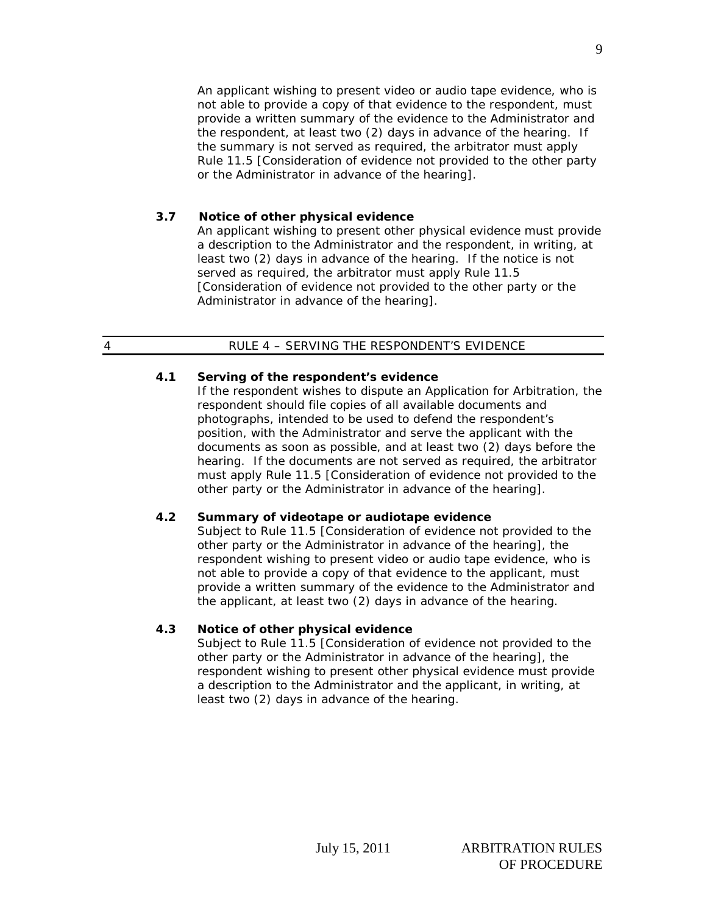An applicant wishing to present video or audio tape evidence, who is not able to provide a copy of that evidence to the respondent, must provide a written summary of the evidence to the Administrator and the respondent, at least two (2) days in advance of the hearing. If the summary is not served as required, the arbitrator must apply Rule 11.5 [Consideration of evidence not provided to the other party or the Administrator in advance of the hearing].

# **3.7 Notice of other physical evidence**

An applicant wishing to present other physical evidence must provide a description to the Administrator and the respondent, in writing, at least two (2) days in advance of the hearing. If the notice is not served as required, the arbitrator must apply Rule 11.5 [Consideration of evidence not provided to the other party or the Administrator in advance of the hearing].

### 4 RULE 4 – SERVING THE RESPONDENT'S EVIDENCE

# **4.1 Serving of the respondent's evidence**

If the respondent wishes to dispute an Application for Arbitration, the respondent should file copies of all available documents and photographs, intended to be used to defend the respondent's position, with the Administrator and serve the applicant with the documents as soon as possible, and at least two (2) days before the hearing. If the documents are not served as required, the arbitrator must apply Rule 11.5 [Consideration of evidence not provided to the other party or the Administrator in advance of the hearing].

# **4.2 Summary of videotape or audiotape evidence**

Subject to Rule 11.5 [Consideration of evidence not provided to the other party or the Administrator in advance of the hearing], the respondent wishing to present video or audio tape evidence, who is not able to provide a copy of that evidence to the applicant, must provide a written summary of the evidence to the Administrator and the applicant, at least two (2) days in advance of the hearing.

# **4.3 Notice of other physical evidence**

Subject to Rule 11.5 [Consideration of evidence not provided to the other party or the Administrator in advance of the hearing], the respondent wishing to present other physical evidence must provide a description to the Administrator and the applicant, in writing, at least two (2) days in advance of the hearing.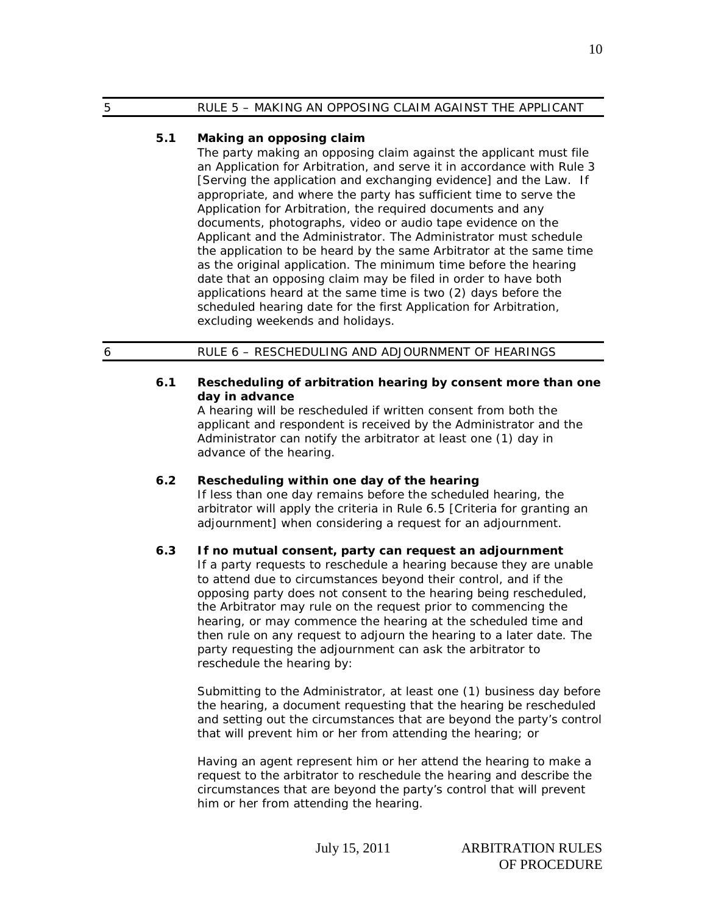### 5 RULE 5 – MAKING AN OPPOSING CLAIM AGAINST THE APPLICANT

### **5.1 Making an opposing claim**

The party making an opposing claim against the applicant must file an Application for Arbitration, and serve it in accordance with Rule 3 [Serving the application and exchanging evidence] and the Law*.* If appropriate, and where the party has sufficient time to serve the Application for Arbitration, the required documents and any documents, photographs, video or audio tape evidence on the Applicant and the Administrator. The Administrator must schedule the application to be heard by the same Arbitrator at the same time as the original application. The minimum time before the hearing date that an opposing claim may be filed in order to have both applications heard at the same time is two (2) days before the scheduled hearing date for the first Application for Arbitration, excluding weekends and holidays.

# 6 RULE 6 – RESCHEDULING AND ADJOURNMENT OF HEARINGS

### **6.1 Rescheduling of arbitration hearing by consent more than one day in advance**

A hearing will be rescheduled if written consent from both the applicant and respondent is received by the Administrator and the Administrator can notify the arbitrator at least one (1) day in advance of the hearing.

### **6.2 Rescheduling within one day of the hearing**

If less than one day remains before the scheduled hearing, the arbitrator will apply the criteria in Rule 6.5 [Criteria for granting an adjournment] when considering a request for an adjournment.

### **6.3 If no mutual consent, party can request an adjournment**

If a party requests to reschedule a hearing because they are unable to attend due to circumstances beyond their control, and if the opposing party does not consent to the hearing being rescheduled, the Arbitrator may rule on the request prior to commencing the hearing, or may commence the hearing at the scheduled time and then rule on any request to adjourn the hearing to a later date. The party requesting the adjournment can ask the arbitrator to reschedule the hearing by:

Submitting to the Administrator, at least one (1) business day before the hearing, a document requesting that the hearing be rescheduled and setting out the circumstances that are beyond the party's control that will prevent him or her from attending the hearing; or

Having an agent represent him or her attend the hearing to make a request to the arbitrator to reschedule the hearing and describe the circumstances that are beyond the party's control that will prevent him or her from attending the hearing.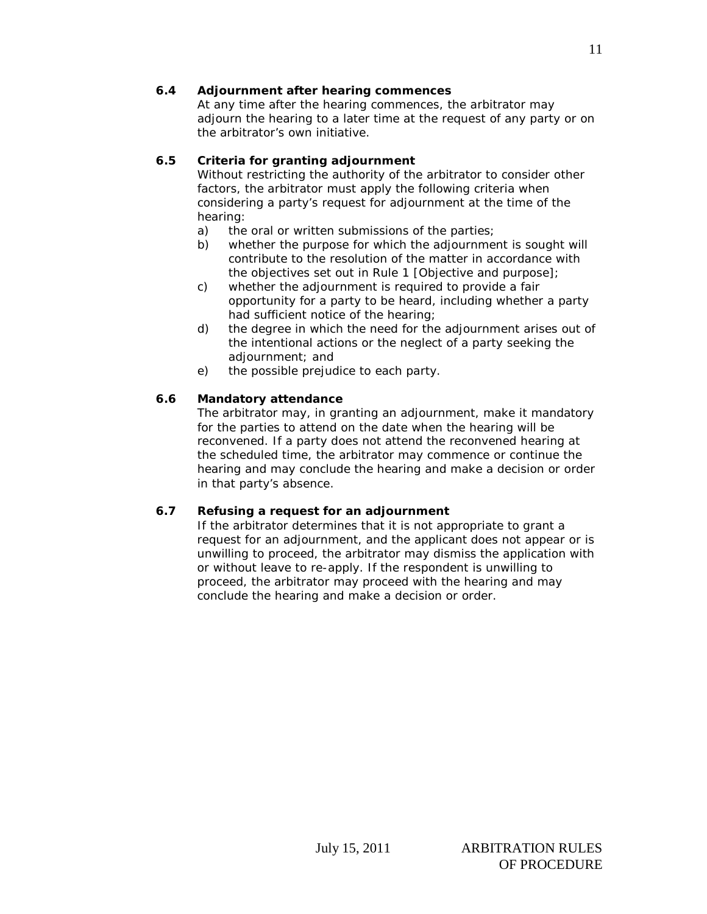# **6.4 Adjournment after hearing commences**

At any time after the hearing commences, the arbitrator may adjourn the hearing to a later time at the request of any party or on the arbitrator's own initiative.

# **6.5 Criteria for granting adjournment**

Without restricting the authority of the arbitrator to consider other factors, the arbitrator must apply the following criteria when considering a party's request for adjournment at the time of the hearing:

- a) the oral or written submissions of the parties;
- b) whether the purpose for which the adjournment is sought will contribute to the resolution of the matter in accordance with the objectives set out in Rule 1 [Objective and purpose];
- c) whether the adjournment is required to provide a fair opportunity for a party to be heard, including whether a party had sufficient notice of the hearing;
- d) the degree in which the need for the adjournment arises out of the intentional actions or the neglect of a party seeking the adjournment; and
- e) the possible prejudice to each party.

# **6.6 Mandatory attendance**

The arbitrator may, in granting an adjournment, make it mandatory for the parties to attend on the date when the hearing will be reconvened. If a party does not attend the reconvened hearing at the scheduled time, the arbitrator may commence or continue the hearing and may conclude the hearing and make a decision or order in that party's absence.

# **6.7 Refusing a request for an adjournment**

If the arbitrator determines that it is not appropriate to grant a request for an adjournment, and the applicant does not appear or is unwilling to proceed, the arbitrator may dismiss the application with or without leave to re-apply. If the respondent is unwilling to proceed, the arbitrator may proceed with the hearing and may conclude the hearing and make a decision or order.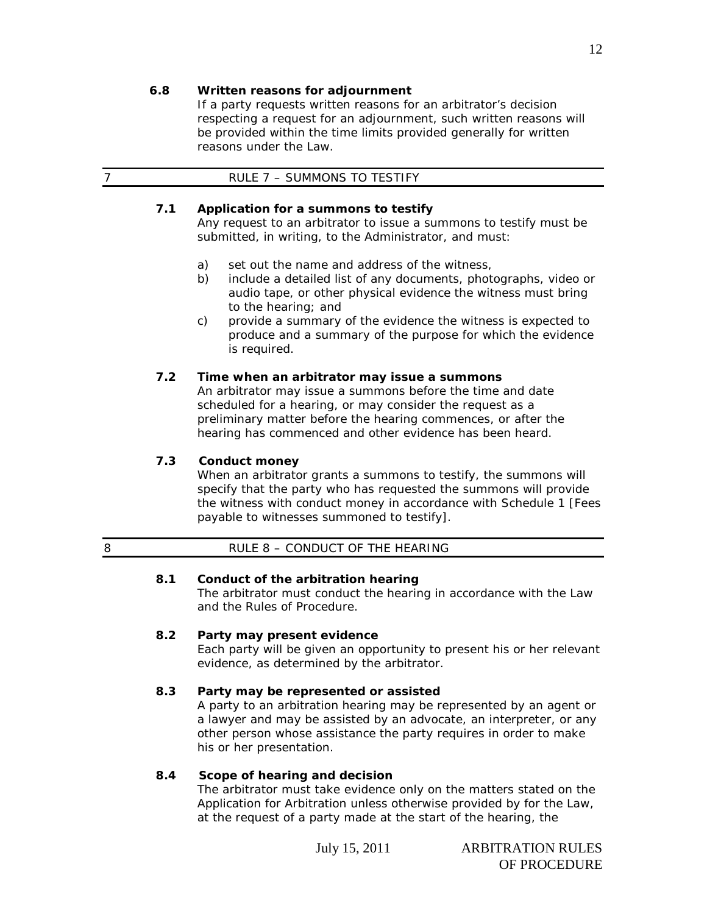### **6.8 Written reasons for adjournment**

If a party requests written reasons for an arbitrator's decision respecting a request for an adjournment, such written reasons will be provided within the time limits provided generally for written reasons under the Law*.*

# **7.1 Application for a summons to testify**

Any request to an arbitrator to issue a summons to testify must be submitted, in writing, to the Administrator, and must:

- a) set out the name and address of the witness,
- b) include a detailed list of any documents, photographs, video or audio tape, or other physical evidence the witness must bring to the hearing; and
- c) provide a summary of the evidence the witness is expected to produce and a summary of the purpose for which the evidence is required.

# **7.2 Time when an arbitrator may issue a summons**

An arbitrator may issue a summons before the time and date scheduled for a hearing, or may consider the request as a preliminary matter before the hearing commences, or after the hearing has commenced and other evidence has been heard.

# **7.3 Conduct money**

When an arbitrator grants a summons to testify, the summons will specify that the party who has requested the summons will provide the witness with conduct money in accordance with Schedule 1 [Fees payable to witnesses summoned to testify].

# 8 RULE 8 – CONDUCT OF THE HEARING

# **8.1 Conduct of the arbitration hearing**

The arbitrator must conduct the hearing in accordance with the Law and the Rules of Procedure.

# **8.2 Party may present evidence**

Each party will be given an opportunity to present his or her relevant evidence, as determined by the arbitrator.

# **8.3 Party may be represented or assisted**

A party to an arbitration hearing may be represented by an agent or a lawyer and may be assisted by an advocate, an interpreter, or any other person whose assistance the party requires in order to make his or her presentation.

# **8.4 Scope of hearing and decision**

The arbitrator must take evidence only on the matters stated on the Application for Arbitration unless otherwise provided by for the Law, at the request of a party made at the start of the hearing, the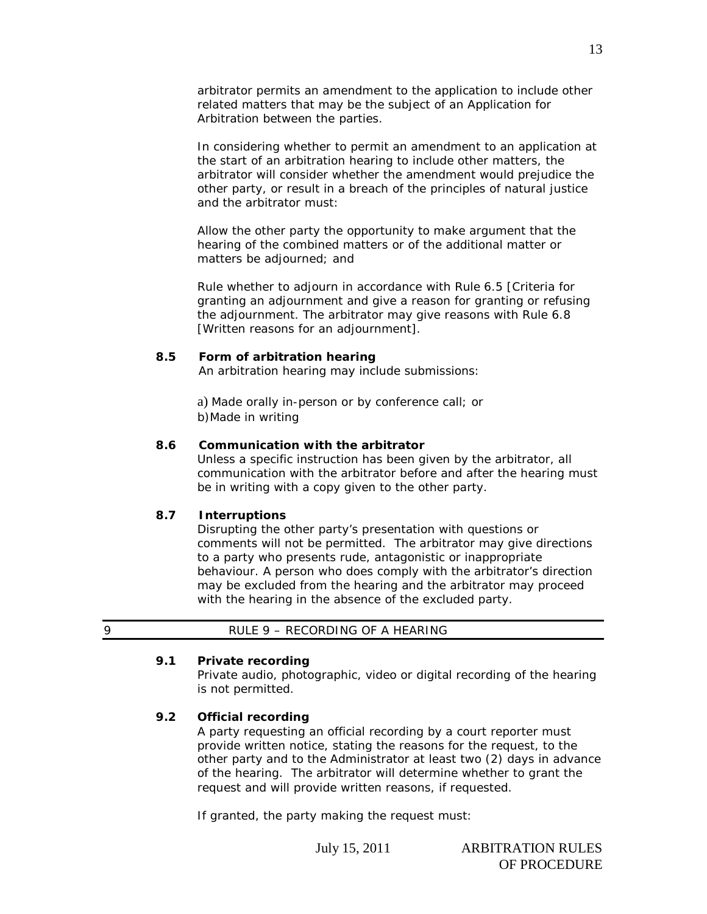arbitrator permits an amendment to the application to include other related matters that may be the subject of an Application for Arbitration between the parties.

In considering whether to permit an amendment to an application at the start of an arbitration hearing to include other matters, the arbitrator will consider whether the amendment would prejudice the other party, or result in a breach of the principles of natural justice and the arbitrator must:

Allow the other party the opportunity to make argument that the hearing of the combined matters or of the additional matter or matters be adjourned; and

Rule whether to adjourn in accordance with Rule 6.5 [Criteria for granting an adjournment and give a reason for granting or refusing the adjournment. The arbitrator may give reasons with Rule 6.8 [Written reasons for an adjournment].

#### **8.5 Form of arbitration hearing**

An arbitration hearing may include submissions:

 a) Made orally in-person or by conference call; or b)Made in writing

#### **8.6 Communication with the arbitrator**

Unless a specific instruction has been given by the arbitrator, all communication with the arbitrator before and after the hearing must be in writing with a copy given to the other party.

#### **8.7 Interruptions**

Disrupting the other party's presentation with questions or comments will not be permitted. The arbitrator may give directions to a party who presents rude, antagonistic or inappropriate behaviour. A person who does comply with the arbitrator's direction may be excluded from the hearing and the arbitrator may proceed with the hearing in the absence of the excluded party.

| RULE 9 - RECORDING OF A HEARING |
|---------------------------------|
|                                 |

#### **9.1 Private recording**

Private audio, photographic, video or digital recording of the hearing is not permitted.

### **9.2 Official recording**

A party requesting an official recording by a court reporter must provide written notice, stating the reasons for the request, to the other party and to the Administrator at least two (2) days in advance of the hearing. The arbitrator will determine whether to grant the request and will provide written reasons, if requested.

If granted, the party making the request must:

13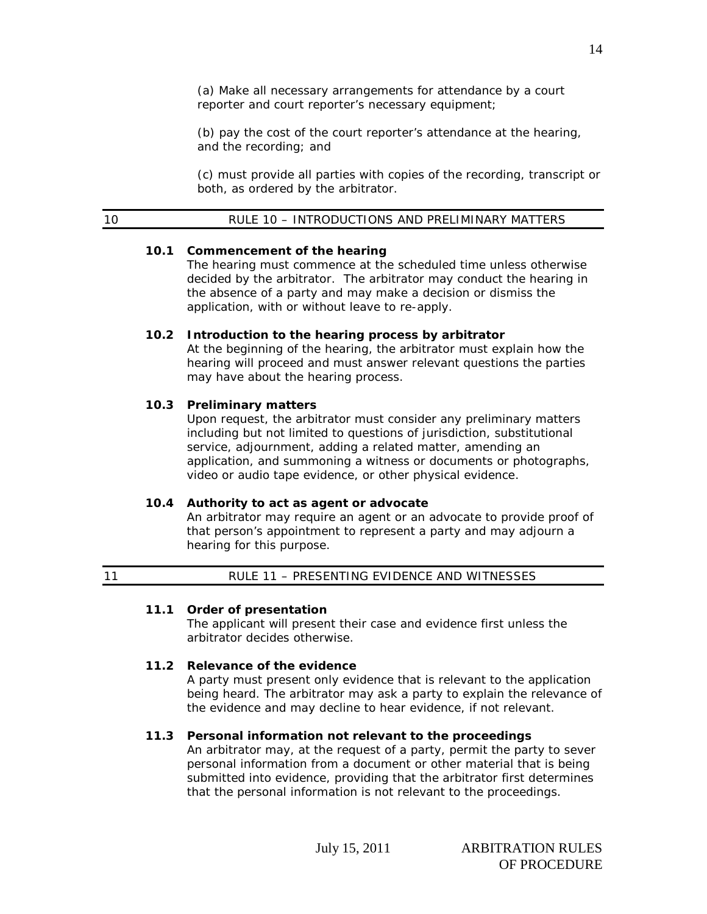(a) Make all necessary arrangements for attendance by a court reporter and court reporter's necessary equipment;

(b) pay the cost of the court reporter's attendance at the hearing, and the recording; and

(c) must provide all parties with copies of the recording, transcript or both, as ordered by the arbitrator.

### **10.1 Commencement of the hearing**

The hearing must commence at the scheduled time unless otherwise decided by the arbitrator. The arbitrator may conduct the hearing in the absence of a party and may make a decision or dismiss the application, with or without leave to re-apply.

#### **10.2 Introduction to the hearing process by arbitrator**

At the beginning of the hearing, the arbitrator must explain how the hearing will proceed and must answer relevant questions the parties may have about the hearing process.

#### **10.3 Preliminary matters**

Upon request, the arbitrator must consider any preliminary matters including but not limited to questions of jurisdiction, substitutional service, adjournment, adding a related matter, amending an application, and summoning a witness or documents or photographs, video or audio tape evidence, or other physical evidence.

### **10.4 Authority to act as agent or advocate**

An arbitrator may require an agent or an advocate to provide proof of that person's appointment to represent a party and may adjourn a hearing for this purpose.

| 11 | RULE 11 - PRESENTING EVIDENCE AND WITNESSES |  |
|----|---------------------------------------------|--|
|    |                                             |  |

### **11.1 Order of presentation**

The applicant will present their case and evidence first unless the arbitrator decides otherwise.

### **11.2 Relevance of the evidence**

A party must present only evidence that is relevant to the application being heard. The arbitrator may ask a party to explain the relevance of the evidence and may decline to hear evidence, if not relevant.

### **11.3 Personal information not relevant to the proceedings**

An arbitrator may, at the request of a party, permit the party to sever personal information from a document or other material that is being submitted into evidence, providing that the arbitrator first determines that the personal information is not relevant to the proceedings.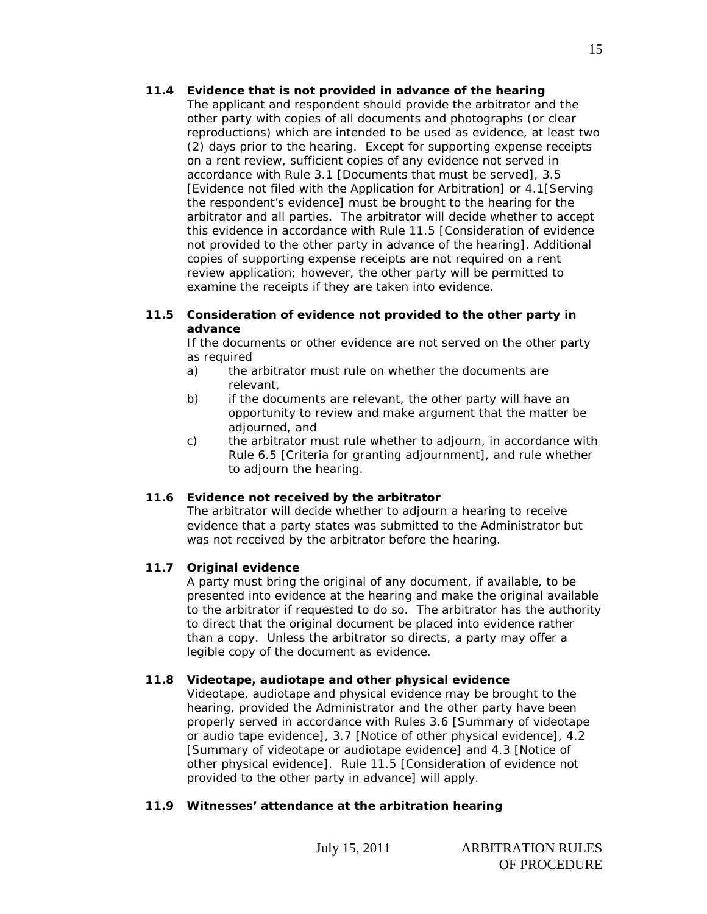# **11.4 Evidence that is not provided in advance of the hearing**

The applicant and respondent should provide the arbitrator and the other party with copies of all documents and photographs (or clear reproductions) which are intended to be used as evidence, at least two (2) days prior to the hearing. Except for supporting expense receipts on a rent review, sufficient copies of any evidence not served in accordance with Rule 3.1 [Documents that must be served], 3.5 [Evidence not filed with the Application for Arbitration] or 4.1[Serving the respondent's evidence] must be brought to the hearing for the arbitrator and all parties. The arbitrator will decide whether to accept this evidence in accordance with Rule 11.5 [Consideration of evidence not provided to the other party in advance of the hearing]. Additional copies of supporting expense receipts are not required on a rent review application; however, the other party will be permitted to examine the receipts if they are taken into evidence.

### **11.5 Consideration of evidence not provided to the other party in advance**

If the documents or other evidence are not served on the other party as required

- a) the arbitrator must rule on whether the documents are relevant,
- b) if the documents are relevant, the other party will have an opportunity to review and make argument that the matter be adjourned, and
- c) the arbitrator must rule whether to adjourn, in accordance with Rule 6.5 [Criteria for granting adjournment], and rule whether to adjourn the hearing.

# **11.6 Evidence not received by the arbitrator**

The arbitrator will decide whether to adjourn a hearing to receive evidence that a party states was submitted to the Administrator but was not received by the arbitrator before the hearing.

# **11.7 Original evidence**

A party must bring the original of any document, if available, to be presented into evidence at the hearing and make the original available to the arbitrator if requested to do so. The arbitrator has the authority to direct that the original document be placed into evidence rather than a copy. Unless the arbitrator so directs, a party may offer a legible copy of the document as evidence.

# **11.8 Videotape, audiotape and other physical evidence**

Videotape, audiotape and physical evidence may be brought to the hearing, provided the Administrator and the other party have been properly served in accordance with Rules 3.6 [Summary of videotape or audio tape evidence], 3.7 [Notice of other physical evidence], 4.2 [Summary of videotape or audiotape evidence] and 4.3 [Notice of other physical evidence]. Rule 11.5 [Consideration of evidence not provided to the other party in advance] will apply.

# **11.9 Witnesses' attendance at the arbitration hearing**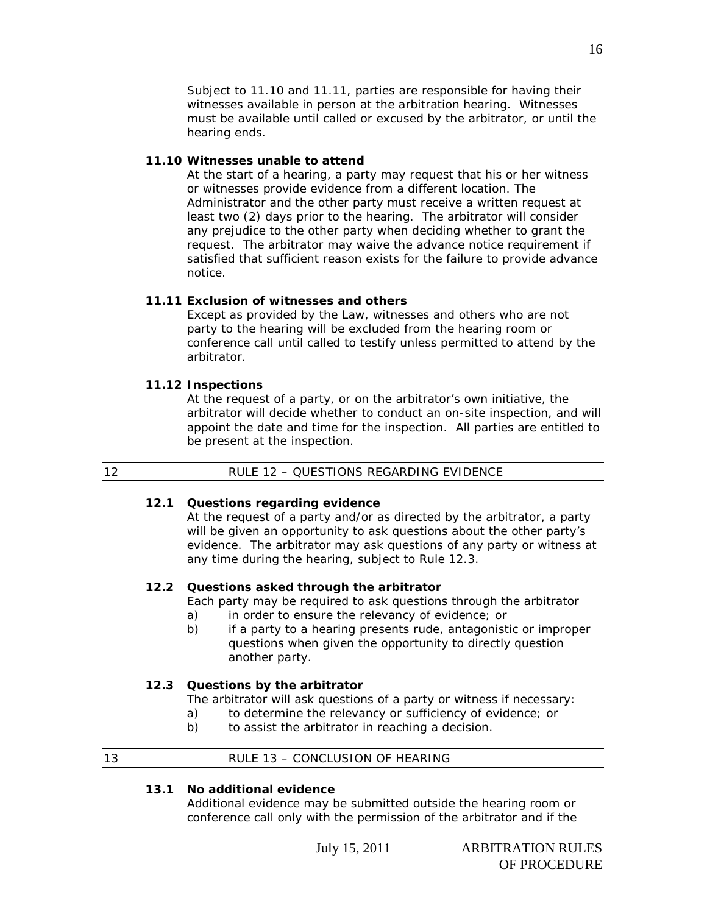Subject to 11.10 and 11.11, parties are responsible for having their witnesses available in person at the arbitration hearing. Witnesses must be available until called or excused by the arbitrator, or until the hearing ends.

#### **11.10 Witnesses unable to attend**

At the start of a hearing, a party may request that his or her witness or witnesses provide evidence from a different location. The Administrator and the other party must receive a written request at least two (2) days prior to the hearing. The arbitrator will consider any prejudice to the other party when deciding whether to grant the request. The arbitrator may waive the advance notice requirement if satisfied that sufficient reason exists for the failure to provide advance notice.

#### **11.11 Exclusion of witnesses and others**

Except as provided by the Law, witnesses and others who are not party to the hearing will be excluded from the hearing room or conference call until called to testify unless permitted to attend by the arbitrator.

#### **11.12 Inspections**

At the request of a party, or on the arbitrator's own initiative, the arbitrator will decide whether to conduct an on-site inspection, and will appoint the date and time for the inspection. All parties are entitled to be present at the inspection.

### **12.1 Questions regarding evidence**

At the request of a party and/or as directed by the arbitrator, a party will be given an opportunity to ask questions about the other party's evidence. The arbitrator may ask questions of any party or witness at any time during the hearing, subject to Rule 12.3.

### **12.2 Questions asked through the arbitrator**

Each party may be required to ask questions through the arbitrator

- a) in order to ensure the relevancy of evidence; or
- b) if a party to a hearing presents rude, antagonistic or improper questions when given the opportunity to directly question another party.

### **12.3 Questions by the arbitrator**

- The arbitrator will ask questions of a party or witness if necessary:
- a) to determine the relevancy or sufficiency of evidence; or
- b) to assist the arbitrator in reaching a decision.

### 13 RULE 13 - CONCLUSION OF HEARING

#### **13.1 No additional evidence**

Additional evidence may be submitted outside the hearing room or conference call only with the permission of the arbitrator and if the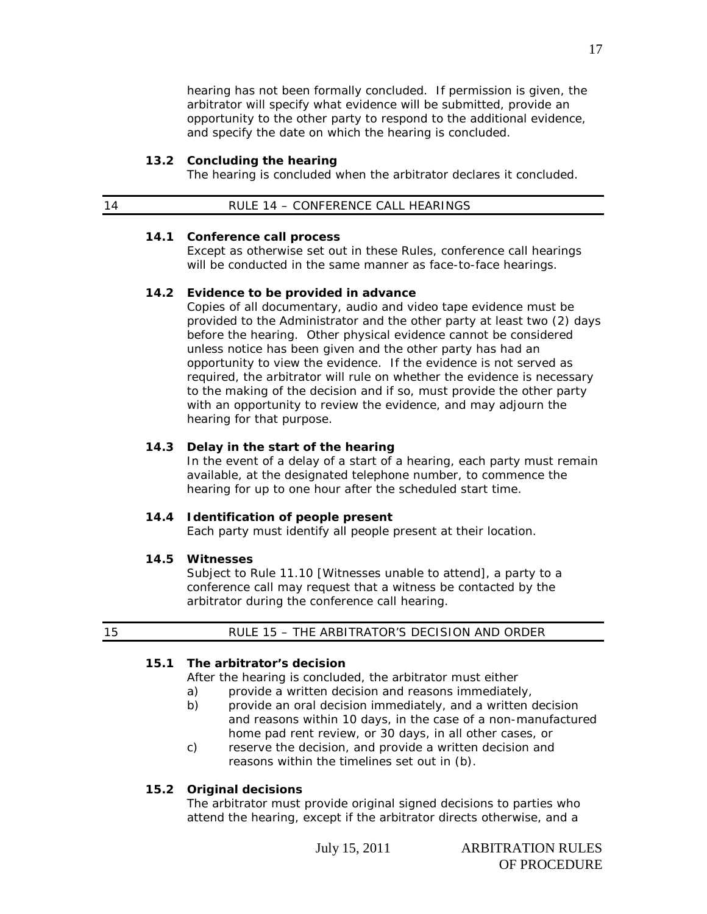hearing has not been formally concluded. If permission is given, the arbitrator will specify what evidence will be submitted, provide an opportunity to the other party to respond to the additional evidence, and specify the date on which the hearing is concluded.

#### **13.2 Concluding the hearing**

The hearing is concluded when the arbitrator declares it concluded.

| RULE 14 - CONFERENCE CALL HEARINGS |  |
|------------------------------------|--|
|------------------------------------|--|

#### **14.1 Conference call process**

Except as otherwise set out in these Rules, conference call hearings will be conducted in the same manner as face-to-face hearings.

#### **14.2 Evidence to be provided in advance**

Copies of all documentary, audio and video tape evidence must be provided to the Administrator and the other party at least two (2) days before the hearing. Other physical evidence cannot be considered unless notice has been given and the other party has had an opportunity to view the evidence. If the evidence is not served as required, the arbitrator will rule on whether the evidence is necessary to the making of the decision and if so, must provide the other party with an opportunity to review the evidence, and may adjourn the hearing for that purpose.

#### **14.3 Delay in the start of the hearing**

In the event of a delay of a start of a hearing, each party must remain available, at the designated telephone number, to commence the hearing for up to one hour after the scheduled start time.

#### **14.4 Identification of people present**

Each party must identify all people present at their location.

#### **14.5 Witnesses**

Subject to Rule 11.10 [Witnesses unable to attend], a party to a conference call may request that a witness be contacted by the arbitrator during the conference call hearing.

# 15 RULE 15 – THE ARBITRATOR'S DECISION AND ORDER

### **15.1 The arbitrator's decision**

After the hearing is concluded, the arbitrator must either

- a) provide a written decision and reasons immediately,
- b) provide an oral decision immediately, and a written decision and reasons within 10 days, in the case of a non-manufactured home pad rent review, or 30 days, in all other cases, or
- c) reserve the decision, and provide a written decision and reasons within the timelines set out in (b).

#### **15.2 Original decisions**

The arbitrator must provide original signed decisions to parties who attend the hearing, except if the arbitrator directs otherwise, and a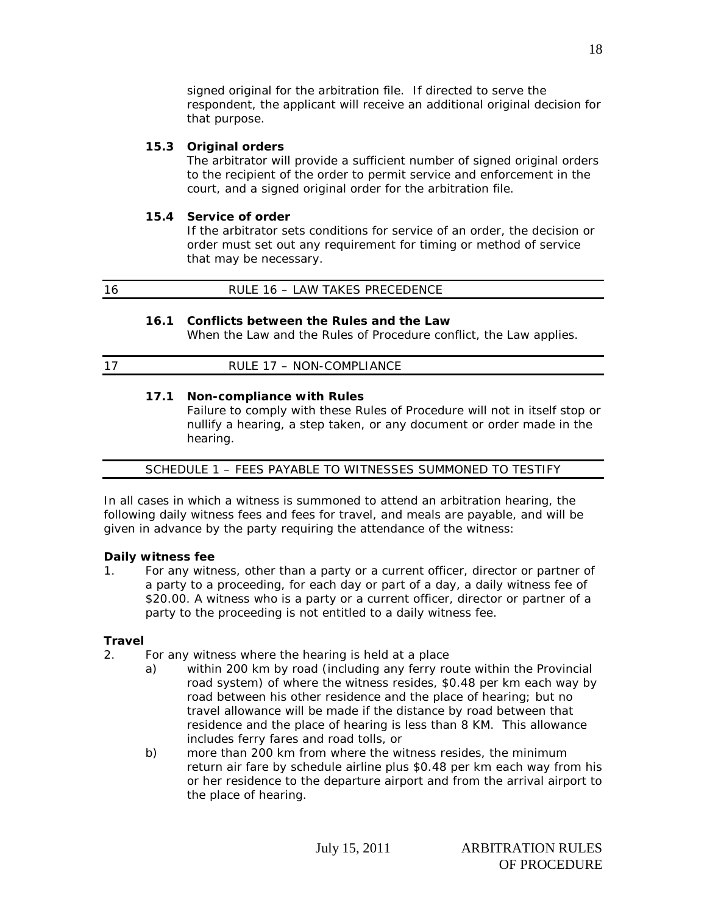signed original for the arbitration file. If directed to serve the respondent, the applicant will receive an additional original decision for that purpose.

# **15.3 Original orders**

The arbitrator will provide a sufficient number of signed original orders to the recipient of the order to permit service and enforcement in the court, and a signed original order for the arbitration file.

### **15.4 Service of order**

If the arbitrator sets conditions for service of an order, the decision or order must set out any requirement for timing or method of service that may be necessary.

| $\overline{\phantom{a}}$ | LAW TAKES PRECEDENCE<br>____ |
|--------------------------|------------------------------|
|                          |                              |

### **16.1 Conflicts between the Rules and the Law**

When the Law and the Rules of Procedure conflict, the Law applies.

### **17.1 Non-compliance with Rules**

Failure to comply with these Rules of Procedure will not in itself stop or nullify a hearing, a step taken, or any document or order made in the hearing.

# SCHEDULE 1 – FEES PAYABLE TO WITNESSES SUMMONED TO TESTIFY

In all cases in which a witness is summoned to attend an arbitration hearing, the following daily witness fees and fees for travel, and meals are payable, and will be given in advance by the party requiring the attendance of the witness:

### **Daily witness fee**

1. For any witness, other than a party or a current officer, director or partner of a party to a proceeding, for each day or part of a day, a daily witness fee of \$20.00. A witness who is a party or a current officer, director or partner of a party to the proceeding is not entitled to a daily witness fee.

# **Travel**

- 2. For any witness where the hearing is held at a place
	- a) within 200 km by road (including any ferry route within the Provincial road system) of where the witness resides, \$0.48 per km each way by road between his other residence and the place of hearing; but no travel allowance will be made if the distance by road between that residence and the place of hearing is less than 8 KM. This allowance includes ferry fares and road tolls, or
	- b) more than 200 km from where the witness resides, the minimum return air fare by schedule airline plus \$0.48 per km each way from his or her residence to the departure airport and from the arrival airport to the place of hearing.